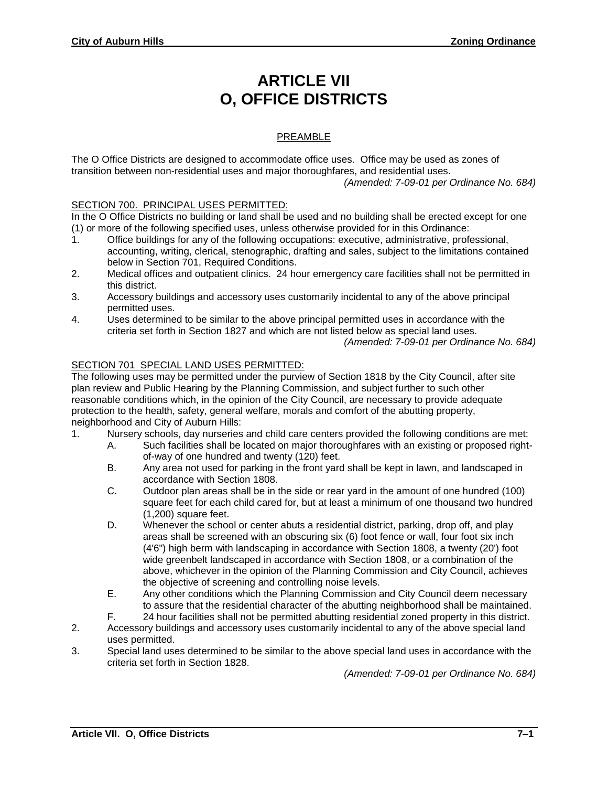# **ARTICLE VII O, OFFICE DISTRICTS**

# PREAMBLE

The O Office Districts are designed to accommodate office uses. Office may be used as zones of transition between non-residential uses and major thoroughfares, and residential uses. *(Amended: 7-09-01 per Ordinance No. 684)*

#### SECTION 700. PRINCIPAL USES PERMITTED:

In the O Office Districts no building or land shall be used and no building shall be erected except for one (1) or more of the following specified uses, unless otherwise provided for in this Ordinance:

- 1. Office buildings for any of the following occupations: executive, administrative, professional, accounting, writing, clerical, stenographic, drafting and sales, subject to the limitations contained below in Section 701, Required Conditions.
- 2. Medical offices and outpatient clinics. 24 hour emergency care facilities shall not be permitted in this district.
- 3. Accessory buildings and accessory uses customarily incidental to any of the above principal permitted uses.
- 4. Uses determined to be similar to the above principal permitted uses in accordance with the criteria set forth in Section 1827 and which are not listed below as special land uses.

*(Amended: 7-09-01 per Ordinance No. 684)*

### SECTION 701 SPECIAL LAND USES PERMITTED:

The following uses may be permitted under the purview of Section 1818 by the City Council, after site plan review and Public Hearing by the Planning Commission, and subject further to such other reasonable conditions which, in the opinion of the City Council, are necessary to provide adequate protection to the health, safety, general welfare, morals and comfort of the abutting property, neighborhood and City of Auburn Hills:

- 1. Nursery schools, day nurseries and child care centers provided the following conditions are met:
	- A. Such facilities shall be located on major thoroughfares with an existing or proposed rightof-way of one hundred and twenty (120) feet.
	- B. Any area not used for parking in the front yard shall be kept in lawn, and landscaped in accordance with Section 1808.
	- C. Outdoor plan areas shall be in the side or rear yard in the amount of one hundred (100) square feet for each child cared for, but at least a minimum of one thousand two hundred (1,200) square feet.
	- D. Whenever the school or center abuts a residential district, parking, drop off, and play areas shall be screened with an obscuring six (6) foot fence or wall, four foot six inch (4'6") high berm with landscaping in accordance with Section 1808, a twenty (20') foot wide greenbelt landscaped in accordance with Section 1808, or a combination of the above, whichever in the opinion of the Planning Commission and City Council, achieves the objective of screening and controlling noise levels.
	- E. Any other conditions which the Planning Commission and City Council deem necessary to assure that the residential character of the abutting neighborhood shall be maintained.
	- F. 24 hour facilities shall not be permitted abutting residential zoned property in this district.
- 2. Accessory buildings and accessory uses customarily incidental to any of the above special land uses permitted.
- 3. Special land uses determined to be similar to the above special land uses in accordance with the criteria set forth in Section 1828.

*(Amended: 7-09-01 per Ordinance No. 684)*